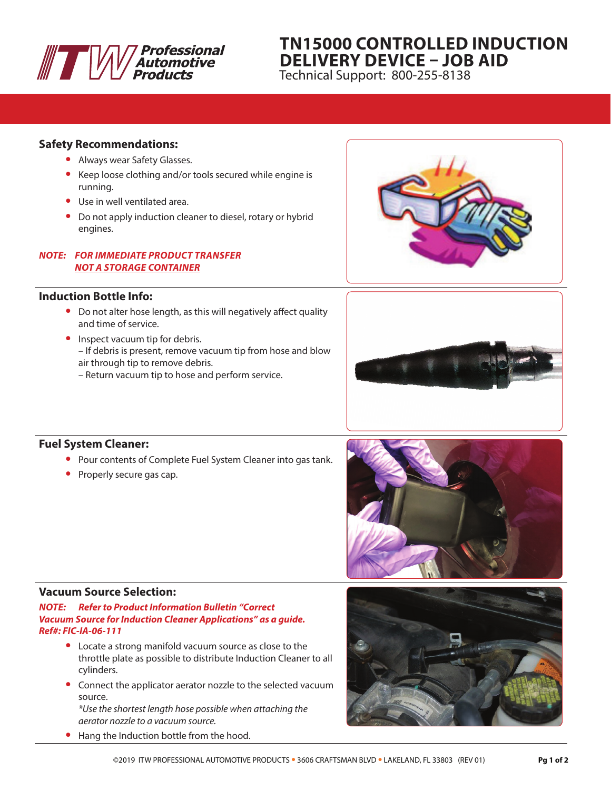

# **TN15000 CONTROLLED INDUCTION DELIVERY DEVICE – JOB AID**

Technical Support: 800-255-8138

#### **Safety Recommendations:**

- **•** Always wear Safety Glasses.
- **•** Keep loose clothing and/or tools secured while engine is running.
- **•** Use in well ventilated area.
- **•** Do not apply induction cleaner to diesel, rotary or hybrid engines.

#### *NOTE: FOR IMMEDIATE PRODUCT TRANSFER NOT A STORAGE CONTAINER*

## **Induction Bottle Info:**

- **•** Do not alter hose length, as this will negatively affect quality and time of service.
- **•** Inspect vacuum tip for debris. – If debris is present, remove vacuum tip from hose and blow air through tip to remove debris.
	- Return vacuum tip to hose and perform service.





## **Fuel System Cleaner:**

- **•** Pour contents of Complete Fuel System Cleaner into gas tank.
- **•** Properly secure gas cap.



#### **Vacuum Source Selection:**

*NOTE: Refer to Product Information Bulletin "Correct Vacuum Source for Induction Cleaner Applications" as a guide. Ref#: FIC-IA-06-111*

- **•** Locate a strong manifold vacuum source as close to the throttle plate as possible to distribute Induction Cleaner to all cylinders.
- **•** Connect the applicator aerator nozzle to the selected vacuum source.

*\*Use the shortest length hose possible when attaching the aerator nozzle to a vacuum source.*

**•** Hang the Induction bottle from the hood.